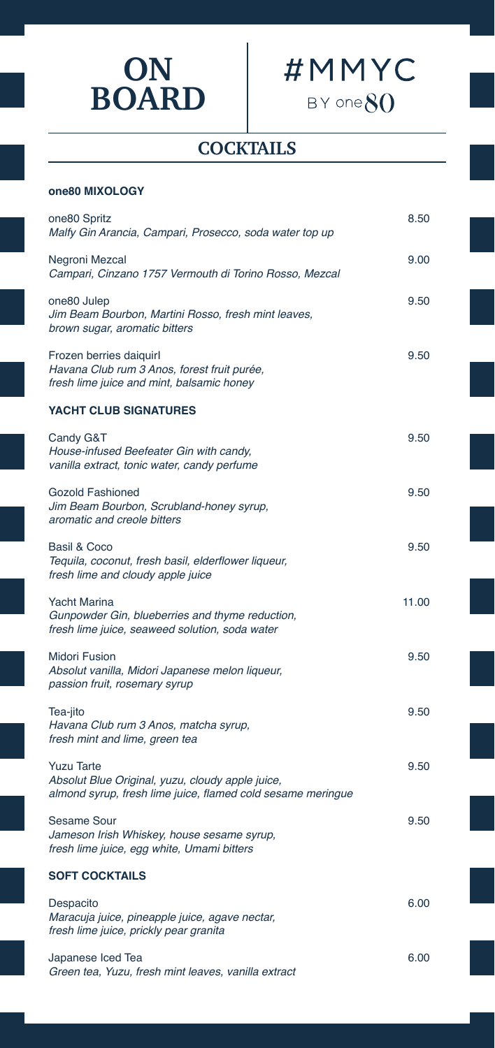# **ON BOARD**

# #MMYC  $BY$  one $80$

## **COCKTAILS**

#### **one80 MIXOLOGY**

| one80 Spritz<br>Malfy Gin Arancia, Campari, Prosecco, soda water top up                                                              | 8.50  |
|--------------------------------------------------------------------------------------------------------------------------------------|-------|
| Negroni Mezcal<br>Campari, Cinzano 1757 Vermouth di Torino Rosso, Mezcal                                                             | 9.00  |
| one80 Julep<br>Jim Beam Bourbon, Martini Rosso, fresh mint leaves,<br>brown sugar, aromatic bitters                                  | 9.50  |
| Frozen berries daiquirl<br>Havana Club rum 3 Anos, forest fruit purée,<br>fresh lime juice and mint, balsamic honey                  | 9.50  |
| YACHT CLUB SIGNATURES                                                                                                                |       |
| Candy G&T<br>House-infused Beefeater Gin with candy,<br>vanilla extract, tonic water, candy perfume                                  | 9.50  |
| Gozold Fashioned<br>Jim Beam Bourbon, Scrubland-honey syrup,<br>aromatic and creole bitters                                          | 9.50  |
| Basil & Coco<br>Tequila, coconut, fresh basil, elderflower liqueur,<br>fresh lime and cloudy apple juice                             | 9.50  |
| Yacht Marina<br>Gunpowder Gin, blueberries and thyme reduction,<br>fresh lime juice, seaweed solution, soda water                    | 11.00 |
| Midori Fusion<br>Absolut vanilla, Midori Japanese melon liqueur,<br>passion fruit, rosemary syrup                                    | 9.50  |
| Tea-jito<br>Havana Club rum 3 Anos, matcha syrup,<br>fresh mint and lime, green tea                                                  | 9.50  |
| <b>Yuzu Tarte</b><br>Absolut Blue Original, yuzu, cloudy apple juice,<br>almond syrup, fresh lime juice, flamed cold sesame meringue | 9.50  |
| Sesame Sour<br>Jameson Irish Whiskey, house sesame syrup,<br>fresh lime juice, egg white, Umami bitters                              | 9.50  |
| <b>SOFT COCKTAILS</b>                                                                                                                |       |
| Despacito<br>Maracuja juice, pineapple juice, agave nectar,<br>fresh lime juice, prickly pear granita                                | 6.00  |
| Japanese Iced Tea<br>Green tea, Yuzu, fresh mint leaves, vanilla extract                                                             | 6.00  |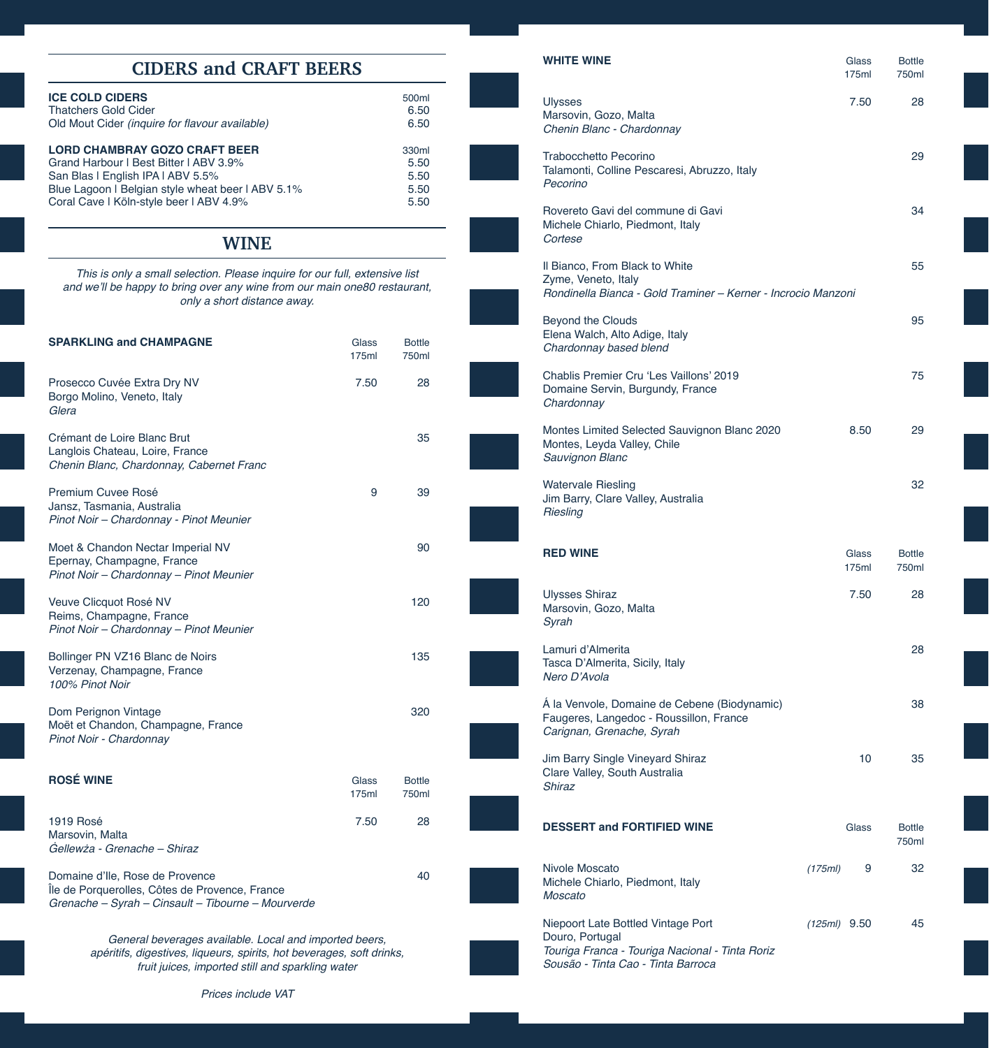| <b>CIDERS and CRAFT BEERS</b>                                                                                                                                                                                       |                |                                       | <b>WHITE WINE</b>                                                                                                    | Glass<br>175ml | <b>Bottle</b><br>750ml |
|---------------------------------------------------------------------------------------------------------------------------------------------------------------------------------------------------------------------|----------------|---------------------------------------|----------------------------------------------------------------------------------------------------------------------|----------------|------------------------|
| <b>ICE COLD CIDERS</b><br><b>Thatchers Gold Cider</b><br>Old Mout Cider (inquire for flavour available)                                                                                                             |                | 500ml<br>6.50<br>6.50                 | <b>Ulysses</b><br>Marsovin, Gozo, Malta<br>Chenin Blanc - Chardonnay                                                 | 7.50           | 28                     |
| <b>LORD CHAMBRAY GOZO CRAFT BEER</b><br>Grand Harbour I Best Bitter I ABV 3.9%<br>San Blas I English IPA I ABV 5.5%<br>Blue Lagoon I Belgian style wheat beer I ABV 5.1%<br>Coral Cave I Köln-style beer I ABV 4.9% |                | 330ml<br>5.50<br>5.50<br>5.50<br>5.50 | Trabocchetto Pecorino<br>Talamonti, Colline Pescaresi, Abruzzo, Italy<br>Pecorino                                    |                | 29                     |
|                                                                                                                                                                                                                     |                |                                       | Rovereto Gavi del commune di Gavi<br>Michele Chiarlo, Piedmont, Italy<br>Cortese                                     |                | 34                     |
| <b>WINE</b>                                                                                                                                                                                                         |                |                                       | Il Bianco, From Black to White                                                                                       |                | 55                     |
| This is only a small selection. Please inquire for our full, extensive list<br>and we'll be happy to bring over any wine from our main one80 restaurant,<br>only a short distance away.                             |                |                                       | Zyme, Veneto, Italy<br>Rondinella Bianca - Gold Traminer - Kerner - Incrocio Manzoni                                 |                |                        |
| <b>SPARKLING and CHAMPAGNE</b>                                                                                                                                                                                      | Glass<br>175ml | <b>Bottle</b><br>750ml                | Beyond the Clouds<br>Elena Walch, Alto Adige, Italy<br>Chardonnay based blend                                        |                | 95                     |
| Prosecco Cuvée Extra Dry NV<br>Borgo Molino, Veneto, Italy<br>Glera                                                                                                                                                 | 7.50           | 28                                    | Chablis Premier Cru 'Les Vaillons' 2019<br>Domaine Servin, Burgundy, France<br>Chardonnay                            |                | 75                     |
| Crémant de Loire Blanc Brut<br>Langlois Chateau, Loire, France<br>Chenin Blanc, Chardonnay, Cabernet Franc                                                                                                          |                | 35                                    | Montes Limited Selected Sauvignon Blanc 2020<br>Montes, Leyda Valley, Chile<br>Sauvignon Blanc                       | 8.50           | 29                     |
| Premium Cuvee Rosé<br>Jansz, Tasmania, Australia<br>Pinot Noir - Chardonnay - Pinot Meunier                                                                                                                         | 9              | 39                                    | <b>Watervale Riesling</b><br>Jim Barry, Clare Valley, Australia<br>Riesling                                          |                | 32                     |
| Moet & Chandon Nectar Imperial NV<br>Epernay, Champagne, France<br>Pinot Noir - Chardonnay - Pinot Meunier                                                                                                          |                | 90                                    | <b>RED WINE</b>                                                                                                      | Glass<br>175ml | <b>Bottle</b><br>750ml |
| Veuve Clicquot Rosé NV<br>Reims, Champagne, France<br>Pinot Noir - Chardonnay - Pinot Meunier                                                                                                                       |                | 120                                   | <b>Ulysses Shiraz</b><br>Marsovin, Gozo, Malta<br>Syrah                                                              | 7.50           | 28                     |
| Bollinger PN VZ16 Blanc de Noirs<br>Verzenay, Champagne, France<br>100% Pinot Noir                                                                                                                                  |                | 135                                   | Lamuri d'Almerita<br>Tasca D'Almerita, Sicily, Italy<br>Nero D'Avola                                                 |                | 28                     |
| Dom Perignon Vintage<br>Moët et Chandon, Champagne, France<br>Pinot Noir - Chardonnay                                                                                                                               |                | 320                                   | Á la Venvole, Domaine de Cebene (Biodynamic)<br>Faugeres, Langedoc - Roussillon, France<br>Carignan, Grenache, Syrah |                | 38                     |
| <b>ROSÉ WINE</b>                                                                                                                                                                                                    | Glass<br>175ml | <b>Bottle</b><br>750ml                | Jim Barry Single Vineyard Shiraz<br>Clare Valley, South Australia<br>Shiraz                                          | 10             | 35                     |
| 1919 Rosé<br>Marsovin, Malta<br>Gellewża - Grenache – Shiraz                                                                                                                                                        | 7.50           | 28                                    | <b>DESSERT and FORTIFIED WINE</b>                                                                                    | Glass          | <b>Bottle</b><br>750ml |
| Domaine d'Ile, Rose de Provence<br>Île de Porquerolles, Côtes de Provence, France<br>Grenache - Syrah - Cinsault - Tibourne - Mourverde                                                                             |                | 40                                    | Nivole Moscato<br>Michele Chiarlo, Piedmont, Italy<br>Moscato                                                        | (175ml)<br>9   | 32                     |
| General beverages available. Local and imported beers,<br>apéritifs, digestives, liqueurs, spirits, hot beverages, soft drinks,                                                                                     |                |                                       | Niepoort Late Bottled Vintage Port<br>Douro, Portugal<br>Touriga Franca - Touriga Nacional - Tinta Roriz             | $(125ml)$ 9.50 | 45                     |

Sousão - Tinta Cao - Tinta Barroca

fruit juices, imported still and sparkling water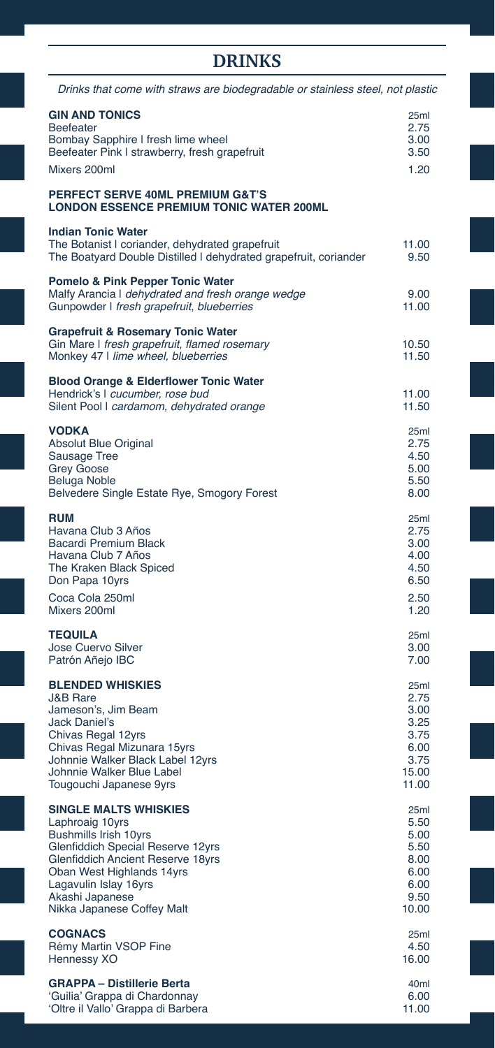## **DRINKS**

| Drinks that come with straws are biodegradable or stainless steel, not plastic                                                                   |                  |
|--------------------------------------------------------------------------------------------------------------------------------------------------|------------------|
| <b>GIN AND TONICS</b>                                                                                                                            | 25ml             |
| <b>Beefeater</b>                                                                                                                                 | 2.75             |
| Bombay Sapphire I fresh lime wheel                                                                                                               | 3.00             |
| Beefeater Pink I strawberry, fresh grapefruit                                                                                                    | 3.50             |
| Mixers 200ml                                                                                                                                     | 1.20             |
| <b>PERFECT SERVE 40ML PREMIUM G&amp;T'S</b><br><b>LONDON ESSENCE PREMIUM TONIC WATER 200ML</b>                                                   |                  |
| <b>Indian Tonic Water</b><br>The Botanist I coriander, dehydrated grapefruit<br>The Boatyard Double Distilled I dehydrated grapefruit, coriander | 11.00<br>9.50    |
| <b>Pomelo &amp; Pink Pepper Tonic Water</b><br>Malfy Arancia I dehydrated and fresh orange wedge<br>Gunpowder I fresh grapefruit, blueberries    | 9.00<br>11.00    |
| <b>Grapefruit &amp; Rosemary Tonic Water</b><br>Gin Mare I fresh grapefruit, flamed rosemary<br>Monkey 47   lime wheel, blueberries              | 10.50<br>11.50   |
| <b>Blood Orange &amp; Elderflower Tonic Water</b><br>Hendrick's I cucumber, rose bud<br>Silent Pool I cardamom, dehydrated orange                | 11.00<br>11.50   |
| <b>VODKA</b>                                                                                                                                     | 25ml             |
| Absolut Blue Original                                                                                                                            | 2.75             |
| Sausage Tree                                                                                                                                     | 4.50             |
| Grey Goose                                                                                                                                       | 5.00             |
| <b>Beluga Noble</b>                                                                                                                              | 5.50             |
| Belvedere Single Estate Rye, Smogory Forest                                                                                                      | 8.00             |
| <b>RUM</b>                                                                                                                                       | 25ml             |
| Havana Club 3 Años                                                                                                                               | 2.75             |
| <b>Bacardi Premium Black</b>                                                                                                                     | 3.00             |
| Havana Club 7 Años                                                                                                                               | 4.00             |
| The Kraken Black Spiced                                                                                                                          | 4.50             |
| Don Papa 10yrs                                                                                                                                   | 6.50             |
| Coca Cola 250ml                                                                                                                                  | 2.50             |
| Mixers 200ml                                                                                                                                     | 1.20             |
| TEQUILA                                                                                                                                          | 25ml             |
| Jose Cuervo Silver                                                                                                                               | 3.00             |
| Patrón Añejo IBC                                                                                                                                 | 7.00             |
| <b>BLENDED WHISKIES</b>                                                                                                                          | 25ml             |
| J&B Rare                                                                                                                                         | 2.75             |
| Jameson's, Jim Beam                                                                                                                              | 3.00             |
| Jack Daniel's                                                                                                                                    | 3.25             |
| Chivas Regal 12yrs                                                                                                                               | 3.75             |
| Chivas Regal Mizunara 15yrs                                                                                                                      | 6.00             |
| Johnnie Walker Black Label 12yrs                                                                                                                 | 3.75             |
| Johnnie Walker Blue Label                                                                                                                        | 15.00            |
| Tougouchi Japanese 9yrs                                                                                                                          | 11.00            |
| <b>SINGLE MALTS WHISKIES</b>                                                                                                                     | 25ml             |
| Laphroaig 10yrs                                                                                                                                  | 5.50             |
| <b>Bushmills Irish 10yrs</b>                                                                                                                     | 5.00             |
| Glenfiddich Special Reserve 12yrs                                                                                                                | 5.50             |
| <b>Glenfiddich Ancient Reserve 18yrs</b>                                                                                                         | 8.00             |
| Oban West Highlands 14yrs                                                                                                                        | 6.00             |
| Lagavulin Islay 16yrs                                                                                                                            | 6.00             |
| Akashi Japanese                                                                                                                                  | 9.50             |
| Nikka Japanese Coffey Malt                                                                                                                       | 10.00            |
| <b>COGNACS</b>                                                                                                                                   | 25ml             |
| Rémy Martin VSOP Fine                                                                                                                            | 4.50             |
| Hennessy XO                                                                                                                                      | 16.00            |
| <b>GRAPPA - Distillerie Berta</b>                                                                                                                | 40 <sub>ml</sub> |
| 'Guilia' Grappa di Chardonnay                                                                                                                    | 6.00             |
| 'Oltre il Vallo' Grappa di Barbera                                                                                                               | 11.00            |